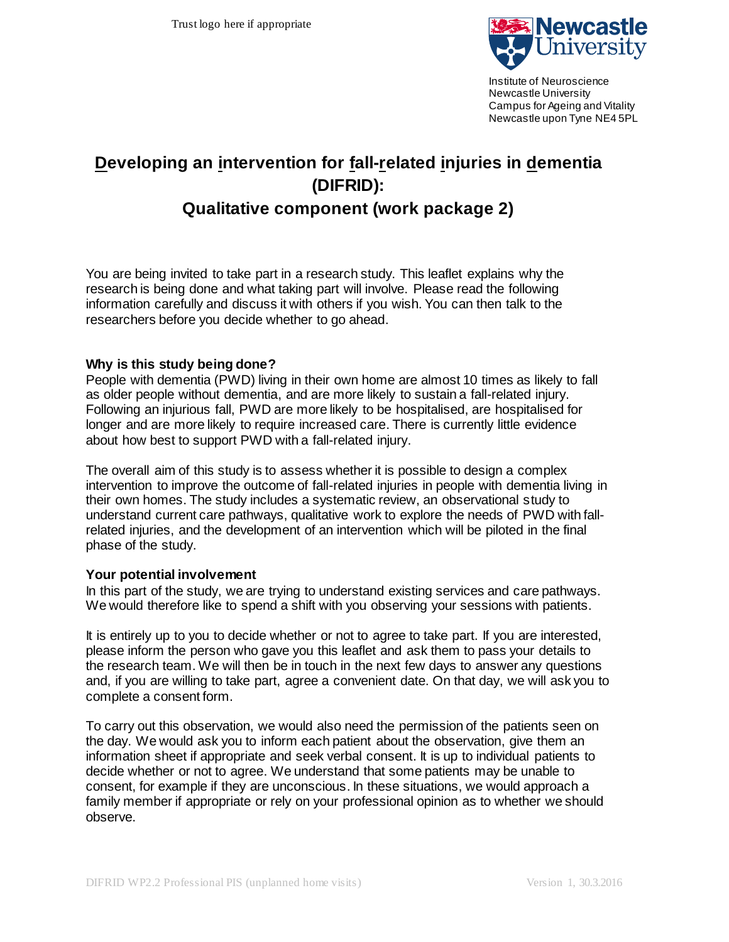

Institute of Neuroscience Newcastle University Campus for Ageing and Vitality Newcastle upon Tyne NE4 5PL

# **Developing an intervention for fall-related injuries in dementia (DIFRID):**

# **Qualitative component (work package 2)**

You are being invited to take part in a research study. This leaflet explains why the research is being done and what taking part will involve. Please read the following information carefully and discuss it with others if you wish. You can then talk to the researchers before you decide whether to go ahead.

## **Why is this study being done?**

People with dementia (PWD) living in their own home are almost 10 times as likely to fall as older people without dementia, and are more likely to sustain a fall-related injury. Following an injurious fall, PWD are more likely to be hospitalised, are hospitalised for longer and are more likely to require increased care. There is currently little evidence about how best to support PWD with a fall-related injury.

The overall aim of this study is to assess whether it is possible to design a complex intervention to improve the outcome of fall-related injuries in people with dementia living in their own homes. The study includes a systematic review, an observational study to understand current care pathways, qualitative work to explore the needs of PWD with fallrelated injuries, and the development of an intervention which will be piloted in the final phase of the study.

#### **Your potential involvement**

In this part of the study, we are trying to understand existing services and care pathways. We would therefore like to spend a shift with you observing your sessions with patients.

It is entirely up to you to decide whether or not to agree to take part. If you are interested, please inform the person who gave you this leaflet and ask them to pass your details to the research team. We will then be in touch in the next few days to answer any questions and, if you are willing to take part, agree a convenient date. On that day, we will ask you to complete a consent form.

To carry out this observation, we would also need the permission of the patients seen on the day. We would ask you to inform each patient about the observation, give them an information sheet if appropriate and seek verbal consent. It is up to individual patients to decide whether or not to agree. We understand that some patients may be unable to consent, for example if they are unconscious. In these situations, we would approach a family member if appropriate or rely on your professional opinion as to whether we should observe.